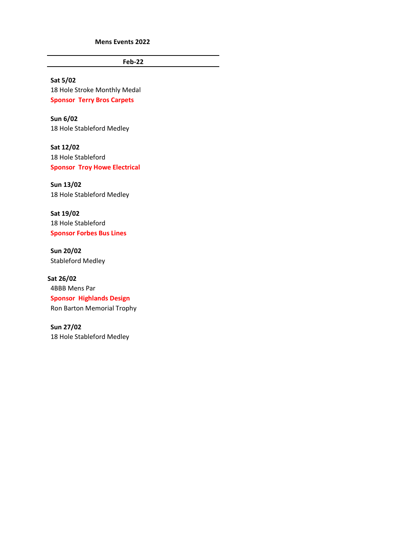**Mens Events 2022**

**Feb-22**

**Sat 5/02** 18 Hole Stroke Monthly Medal **Sponsor Terry Bros Carpets**

**Sun 6/02** 18 Hole Stableford Medley

**Sat 12/02** 18 Hole Stableford **Sponsor Troy Howe Electrical**

**Sun 13/02** 18 Hole Stableford Medley

**Sat 19/02** 18 Hole Stableford **Sponsor Forbes Bus Lines**

**Sun 20/02** Stableford Medley

**Sat 26/02** 4BBB Mens Par **Sponsor Highlands Design** Ron Barton Memorial Trophy

**Sun 27/02** 18 Hole Stableford Medley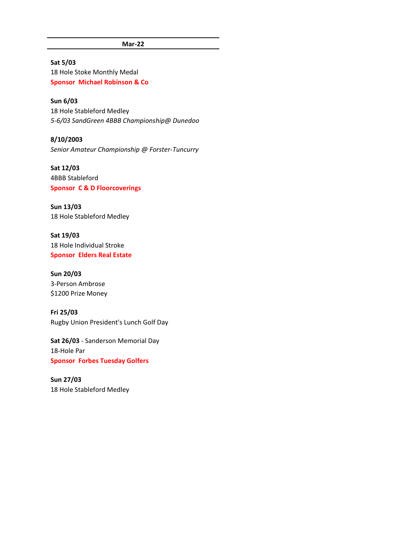**Mar-22**

## **Sat 5/03**

18 Hole Stoke Monthly Medal **Sponsor Michael Robinson & Co**

## **Sun 6/03**

18 Hole Stableford Medley *5-6/03 SandGreen 4BBB Championship@ Dunedoo*

**8/10/2003** *Senior Amateur Championship @ Forster-Tuncurry*

**Sat 12/03** 4BBB Stableford **Sponsor C & D Floorcoverings**

**Sun 13/03** 18 Hole Stableford Medley

**Sat 19/03** 18 Hole Individual Stroke **Sponsor Elders Real Estate**

## **Sun 20/03** 3-Person Ambrose \$1200 Prize Money

**Fri 25/03** Rugby Union President's Lunch Golf Day

**Sat 26/03** - Sanderson Memorial Day 18-Hole Par **Sponsor Forbes Tuesday Golfers**

**Sun 27/03** 18 Hole Stableford Medley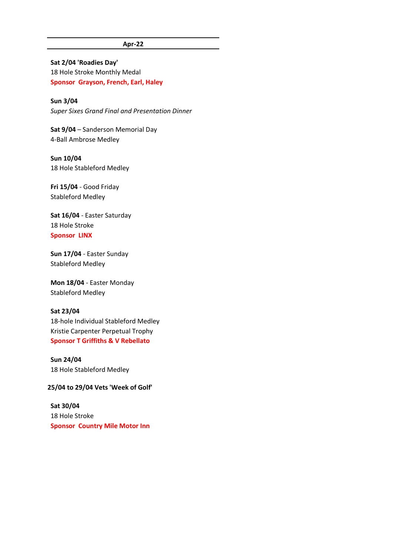#### **Apr-22**

**Sat 2/04 'Roadies Day'** 18 Hole Stroke Monthly Medal **Sponsor Grayson, French, Earl, Haley**

**Sun 3/04** *Super Sixes Grand Final and Presentation Dinner*

**Sat 9/04** – Sanderson Memorial Day 4-Ball Ambrose Medley

**Sun 10/04** 18 Hole Stableford Medley

**Fri 15/04** - Good Friday Stableford Medley

**Sat 16/04** - Easter Saturday 18 Hole Stroke **Sponsor LINX**

**Sun 17/04** - Easter Sunday Stableford Medley

**Mon 18/04** - Easter Monday Stableford Medley

#### **Sat 23/04**

18-hole Individual Stableford Medley Kristie Carpenter Perpetual Trophy **Sponsor T Griffiths & V Rebellato**

**Sun 24/04** 18 Hole Stableford Medley

#### **25/04 to 29/04 Vets 'Week of Golf'**

**Sat 30/04** 18 Hole Stroke **Sponsor Country Mile Motor Inn**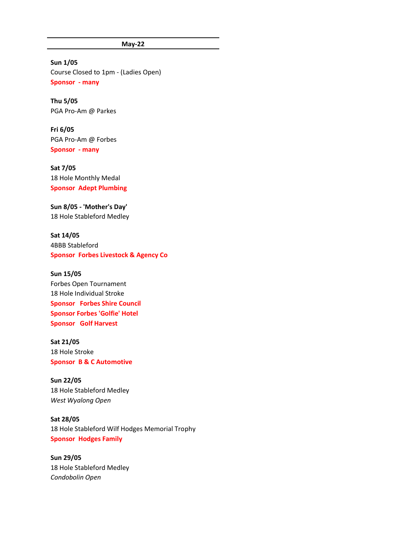**May-22**

**Sun 1/05** Course Closed to 1pm - (Ladies Open) **Sponsor - many**

**Thu 5/05** PGA Pro-Am @ Parkes

**Fri 6/05** PGA Pro-Am @ Forbes **Sponsor - many**

**Sat 7/05** 18 Hole Monthly Medal **Sponsor Adept Plumbing**

**Sun 8/05 - 'Mother's Day'** 18 Hole Stableford Medley

**Sat 14/05** 4BBB Stableford **Sponsor Forbes Livestock & Agency Co**

**Sun 15/05** Forbes Open Tournament 18 Hole Individual Stroke **Sponsor Forbes Shire Council Sponsor Forbes 'Golfie' Hotel Sponsor Golf Harvest**

**Sat 21/05** 18 Hole Stroke **Sponsor B & C Automotive**

**Sun 22/05** 18 Hole Stableford Medley *West Wyalong Open*

**Sat 28/05** 18 Hole Stableford Wilf Hodges Memorial Trophy **Sponsor Hodges Family**

**Sun 29/05** 18 Hole Stableford Medley *Condobolin Open*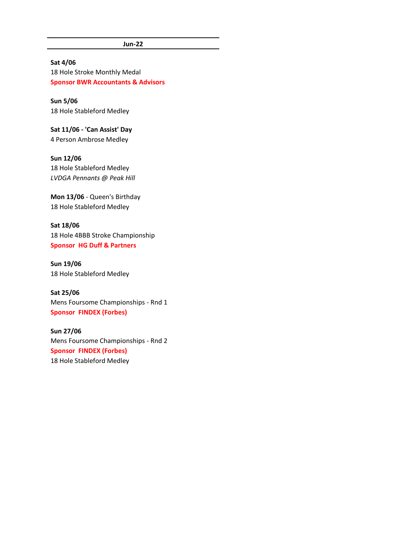**Jun-22**

#### **Sat 4/06**

18 Hole Stroke Monthly Medal **Sponsor BWR Accountants & Advisors**

**Sun 5/06** 18 Hole Stableford Medley

**Sat 11/06 - 'Can Assist' Day** 4 Person Ambrose Medley

**Sun 12/06** 18 Hole Stableford Medley *LVDGA Pennants @ Peak Hill*

**Mon 13/06** - Queen's Birthday 18 Hole Stableford Medley

**Sat 18/06** 18 Hole 4BBB Stroke Championship **Sponsor HG Duff & Partners**

**Sun 19/06** 18 Hole Stableford Medley

**Sat 25/06** Mens Foursome Championships - Rnd 1 **Sponsor FINDEX (Forbes)**

**Sun 27/06** Mens Foursome Championships - Rnd 2 **Sponsor FINDEX (Forbes)** 18 Hole Stableford Medley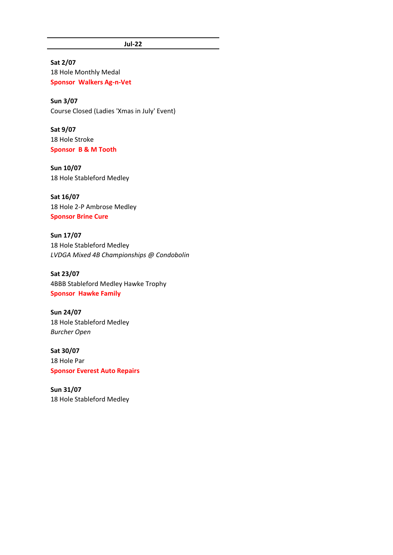#### **Jul-22**

**Sat 2/07** 18 Hole Monthly Medal **Sponsor Walkers Ag-n-Vet**

**Sun 3/07** Course Closed (Ladies 'Xmas in July' Event)

**Sat 9/07** 18 Hole Stroke **Sponsor B & M Tooth**

**Sun 10/07** 18 Hole Stableford Medley

**Sat 16/07** 18 Hole 2-P Ambrose Medley **Sponsor Brine Cure**

**Sun 17/07** 18 Hole Stableford Medley *LVDGA Mixed 4B Championships @ Condobolin*

**Sat 23/07** 4BBB Stableford Medley Hawke Trophy **Sponsor Hawke Family**

**Sun 24/07** 18 Hole Stableford Medley *Burcher Open*

**Sat 30/07** 18 Hole Par **Sponsor Everest Auto Repairs**

**Sun 31/07** 18 Hole Stableford Medley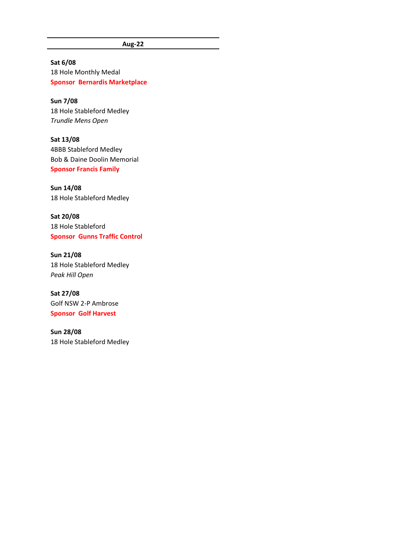**Aug-22**

**Sat 6/08** 18 Hole Monthly Medal **Sponsor Bernardis Marketplace**

**Sun 7/08** 18 Hole Stableford Medley *Trundle Mens Open*

**Sat 13/08** 4BBB Stableford Medley Bob & Daine Doolin Memorial **Sponsor Francis Family**

**Sun 14/08** 18 Hole Stableford Medley

**Sat 20/08** 18 Hole Stableford **Sponsor Gunns Traffic Control**

**Sun 21/08** 18 Hole Stableford Medley *Peak Hill Open*

**Sat 27/08** Golf NSW 2-P Ambrose **Sponsor Golf Harvest**

**Sun 28/08** 18 Hole Stableford Medley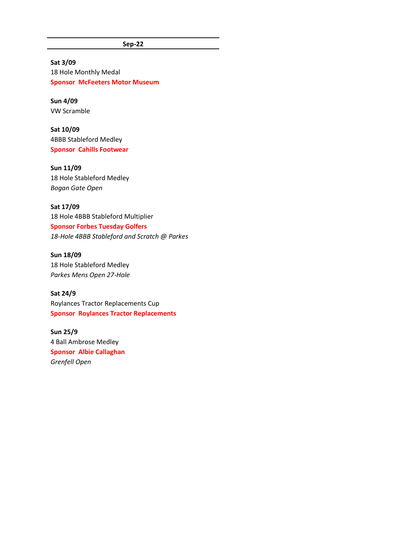**Sep-22**

**Sat 3/09** 18 Hole Monthly Medal **Sponsor McFeeters Motor Museum**

**Sun 4/09** VW Scramble

**Sat 10/09** 4BBB Stableford Medley **Sponsor Cahills Footwear**

**Sun 11/09** 18 Hole Stableford Medley *Bogan Gate Open*

**Sat 17/09** 18 Hole 4BBB Stableford Multiplier **Sponsor Forbes Tuesday Golfers** *18-Hole 4BBB Stableford and Scratch @ Parkes*

**Sun 18/09** 18 Hole Stableford Medley *Parkes Mens Open 27-Hole* 

**Sat 24/9** Roylances Tractor Replacements Cup **Sponsor Roylances Tractor Replacements**

**Sun 25/9** 4 Ball Ambrose Medley **Sponsor Albie Callaghan** *Grenfell Open*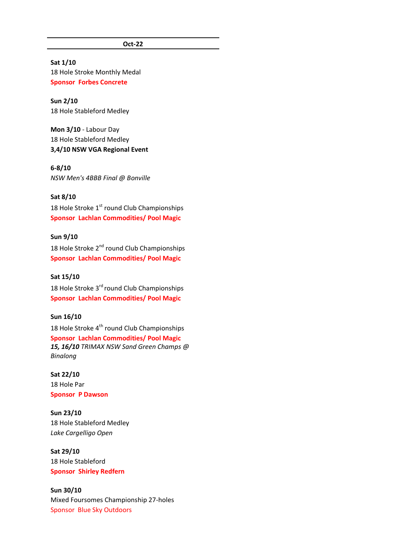**Oct-22**

#### **Sat 1/10**

18 Hole Stroke Monthly Medal **Sponsor Forbes Concrete**

#### **Sun 2/10** 18 Hole Stableford Medley

**Mon 3/10** - Labour Day 18 Hole Stableford Medley **3,4/10 NSW VGA Regional Event**

#### **6-8/10**

*NSW Men's 4BBB Final @ Bonville*

#### **Sat 8/10**

18 Hole Stroke 1<sup>st</sup> round Club Championships **Sponsor Lachlan Commodities/ Pool Magic**

## **Sun 9/10**

18 Hole Stroke 2<sup>nd</sup> round Club Championships **Sponsor Lachlan Commodities/ Pool Magic**

#### **Sat 15/10**

18 Hole Stroke 3<sup>rd</sup> round Club Championships **Sponsor Lachlan Commodities/ Pool Magic**

## **Sun 16/10**

18 Hole Stroke 4<sup>th</sup> round Club Championships **Sponsor Lachlan Commodities/ Pool Magic** *15, 16/10 TRIMAX NSW Sand Green Champs @ Binalong*

## **Sat 22/10** 18 Hole Par **Sponsor P Dawson**

**Sun 23/10** 18 Hole Stableford Medley *Lake Cargelligo Open*

## **Sat 29/10** 18 Hole Stableford **Sponsor Shirley Redfern**

# **Sun 30/10**

Mixed Foursomes Championship 27-holes Sponsor Blue Sky Outdoors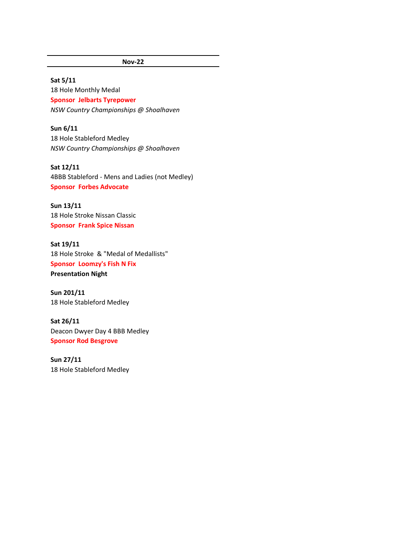## **Nov-22**

#### **Sat 5/11**

18 Hole Monthly Medal **Sponsor Jelbarts Tyrepower** *NSW Country Championships @ Shoalhaven*

**Sun 6/11** 18 Hole Stableford Medley *NSW Country Championships @ Shoalhaven*

**Sat 12/11** 4BBB Stableford - Mens and Ladies (not Medley) **Sponsor Forbes Advocate**

**Sun 13/11** 18 Hole Stroke Nissan Classic **Sponsor Frank Spice Nissan**

**Sat 19/11** 18 Hole Stroke & "Medal of Medallists" **Sponsor Loomzy's Fish N Fix Presentation Night**

**Sun 201/11** 18 Hole Stableford Medley

**Sat 26/11** Deacon Dwyer Day 4 BBB Medley **Sponsor Rod Besgrove**

**Sun 27/11** 18 Hole Stableford Medley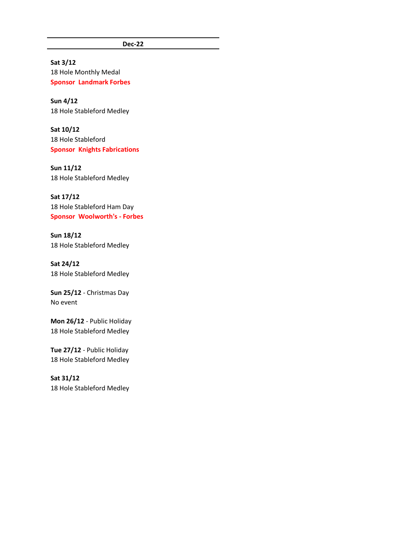**Dec-22**

**Sat 3/12** 18 Hole Monthly Medal **Sponsor Landmark Forbes**

**Sun 4/12** 18 Hole Stableford Medley

**Sat 10/12** 18 Hole Stableford **Sponsor Knights Fabrications**

**Sun 11/12** 18 Hole Stableford Medley

**Sat 17/12** 18 Hole Stableford Ham Day **Sponsor Woolworth's - Forbes**

**Sun 18/12** 18 Hole Stableford Medley

**Sat 24/12** 18 Hole Stableford Medley

**Sun 25/12** - Christmas Day No event

**Mon 26/12** - Public Holiday 18 Hole Stableford Medley

**Tue 27/12** - Public Holiday 18 Hole Stableford Medley

**Sat 31/12** 18 Hole Stableford Medley